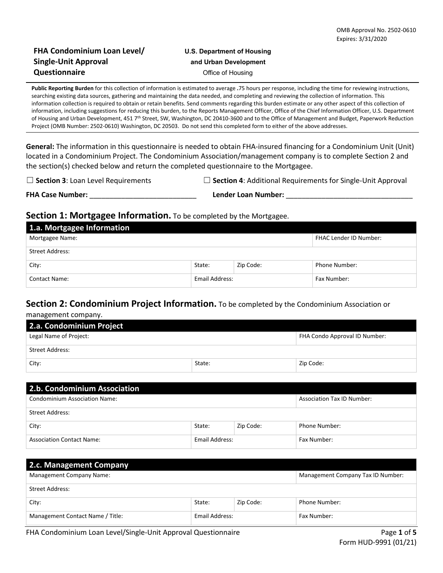### **FHA Condominium Loan Level/ U.S. Department of Housing Single-Unit Approval and Urban Development Questionnaire Office of Housing**

**Public Reporting Burden** for this collection of information is estimated to average **.**75 hours per response, including the time for reviewing instructions, searching existing data sources, gathering and maintaining the data needed, and completing and reviewing the collection of information. This information collection is required to obtain or retain benefits. Send comments regarding this burden estimate or any other aspect of this collection of information, including suggestions for reducing this burden, to the Reports Management Officer, Office of the Chief Information Officer, U.S. Department of Housing and Urban Development, 451 7<sup>th</sup> Street, SW, Washington, DC 20410-3600 and to the Office of Management and Budget, Paperwork Reduction Project (OMB Number: 2502-0610) Washington, DC 20503. Do not send this completed form to either of the above addresses.

**General:** The information in this questionnaire is needed to obtain FHA-insured financing for a Condominium Unit (Unit) located in a Condominium Project. The Condominium Association/management company is to complete Section 2 and the section(s) checked below and return the completed questionnaire to the Mortgagee.

☐ **Section 3**: Loan Level Requirements ☐ **Section 4**: Additional Requirements for Single-Unit Approval

**FHA Case Number:** \_\_\_\_\_\_\_\_\_\_\_\_\_\_\_\_\_\_\_\_\_\_\_\_\_\_\_ **Lender Loan Number:** \_\_\_\_\_\_\_\_\_\_\_\_\_\_\_\_\_\_\_\_\_\_\_\_\_\_\_\_\_\_\_\_

## **Section 1: Mortgagee Information.** To be completed by the Mortgagee.

| 1.a. Mortgagee Information |                |           |                        |
|----------------------------|----------------|-----------|------------------------|
| Mortgagee Name:            |                |           | FHAC Lender ID Number: |
| Street Address:            |                |           |                        |
| City:                      | State:         | Zip Code: | Phone Number:          |
| <b>Contact Name:</b>       | Email Address: |           | Fax Number:            |

# **Section 2: Condominium Project Information.** To be completed by the Condominium Association or

management company.

| 2.a. Condominium Project |        |                               |  |  |  |
|--------------------------|--------|-------------------------------|--|--|--|
| Legal Name of Project:   |        | FHA Condo Approval ID Number: |  |  |  |
| <b>Street Address:</b>   |        |                               |  |  |  |
| City:                    | State: | Zip Code:                     |  |  |  |

| 2.b. Condominium Association         |                |           |                                   |  |  |
|--------------------------------------|----------------|-----------|-----------------------------------|--|--|
| <b>Condominium Association Name:</b> |                |           | <b>Association Tax ID Number:</b> |  |  |
| Street Address:                      |                |           |                                   |  |  |
| City:                                | State:         | Zip Code: | Phone Number:                     |  |  |
| <b>Association Contact Name:</b>     | Email Address: |           | Fax Number:                       |  |  |

| 2.c. Management Company          |                |           |                                   |  |  |  |
|----------------------------------|----------------|-----------|-----------------------------------|--|--|--|
| <b>Management Company Name:</b>  |                |           | Management Company Tax ID Number: |  |  |  |
| Street Address:                  |                |           |                                   |  |  |  |
| City:                            | State:         | Zip Code: | Phone Number:                     |  |  |  |
| Management Contact Name / Title: | Email Address: |           | Fax Number:                       |  |  |  |

FHA Condominium Loan Level/Single-Unit Approval Questionnaire Page **1** of **5**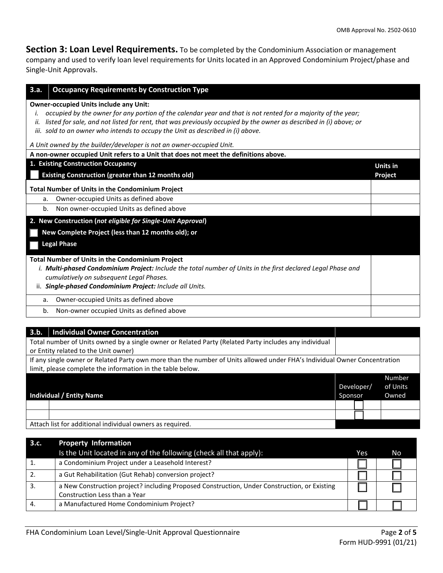**Section 3: Loan Level Requirements.** To be completed by the Condominium Association or management company and used to verify loan level requirements for Units located in an Approved Condominium Project/phase and Single-Unit Approvals.

| <b>Occupancy Requirements by Construction Type</b><br>3.a.                                                                                                                                                                                                                                                                                                                                                                                            |                 |
|-------------------------------------------------------------------------------------------------------------------------------------------------------------------------------------------------------------------------------------------------------------------------------------------------------------------------------------------------------------------------------------------------------------------------------------------------------|-----------------|
| <b>Owner-occupied Units include any Unit:</b><br>occupied by the owner for any portion of the calendar year and that is not rented for a majority of the year;<br>listed for sale, and not listed for rent, that was previously occupied by the owner as described in (i) above; or<br>ii.<br>iii. sold to an owner who intends to occupy the Unit as described in (i) above.<br>A Unit owned by the builder/developer is not an owner-occupied Unit. |                 |
| A non-owner occupied Unit refers to a Unit that does not meet the definitions above.                                                                                                                                                                                                                                                                                                                                                                  |                 |
| 1. Existing Construction Occupancy                                                                                                                                                                                                                                                                                                                                                                                                                    | <b>Units in</b> |
| Existing Construction (greater than 12 months old)                                                                                                                                                                                                                                                                                                                                                                                                    | Project         |
| <b>Total Number of Units in the Condominium Project</b>                                                                                                                                                                                                                                                                                                                                                                                               |                 |
| Owner-occupied Units as defined above<br>a.                                                                                                                                                                                                                                                                                                                                                                                                           |                 |
| Non owner-occupied Units as defined above<br>b.                                                                                                                                                                                                                                                                                                                                                                                                       |                 |
| 2. New Construction (not eligible for Single-Unit Approval)                                                                                                                                                                                                                                                                                                                                                                                           |                 |
| New Complete Project (less than 12 months old); or                                                                                                                                                                                                                                                                                                                                                                                                    |                 |
| <b>Legal Phase</b>                                                                                                                                                                                                                                                                                                                                                                                                                                    |                 |
| <b>Total Number of Units in the Condominium Project</b>                                                                                                                                                                                                                                                                                                                                                                                               |                 |
| i. Multi-phased Condominium Project: Include the total number of Units in the first declared Legal Phase and                                                                                                                                                                                                                                                                                                                                          |                 |
| cumulatively on subsequent Legal Phases.                                                                                                                                                                                                                                                                                                                                                                                                              |                 |
| ii. Single-phased Condominium Project: Include all Units.                                                                                                                                                                                                                                                                                                                                                                                             |                 |
| Owner-occupied Units as defined above<br>a.                                                                                                                                                                                                                                                                                                                                                                                                           |                 |
| b.<br>Non-owner occupied Units as defined above                                                                                                                                                                                                                                                                                                                                                                                                       |                 |

| <b>Individual Owner Concentration</b><br>3.b.                                                                             |            |          |               |
|---------------------------------------------------------------------------------------------------------------------------|------------|----------|---------------|
| Total number of Units owned by a single owner or Related Party (Related Party includes any individual                     |            |          |               |
| or Entity related to the Unit owner)                                                                                      |            |          |               |
| If any single owner or Related Party own more than the number of Units allowed under FHA's Individual Owner Concentration |            |          |               |
| limit, please complete the information in the table below.                                                                |            |          |               |
|                                                                                                                           |            |          | <b>Number</b> |
|                                                                                                                           | Developer/ | of Units |               |
| <b>Individual / Entity Name</b>                                                                                           | Sponsor    |          | Owned         |
|                                                                                                                           |            |          |               |
|                                                                                                                           |            |          |               |
| Attach list for additional individual owners as required.                                                                 |            |          |               |

| 3.c. | <b>Property Information</b>                                                                  |     |     |
|------|----------------------------------------------------------------------------------------------|-----|-----|
|      | Is the Unit located in any of the following (check all that apply):                          | Yes | No. |
|      | a Condominium Project under a Leasehold Interest?                                            |     |     |
| 2.   | a Gut Rehabilitation (Gut Rehab) conversion project?                                         |     |     |
| 3.   | a New Construction project? including Proposed Construction, Under Construction, or Existing |     |     |
|      | Construction Less than a Year                                                                |     |     |
| 4.   | a Manufactured Home Condominium Project?                                                     |     |     |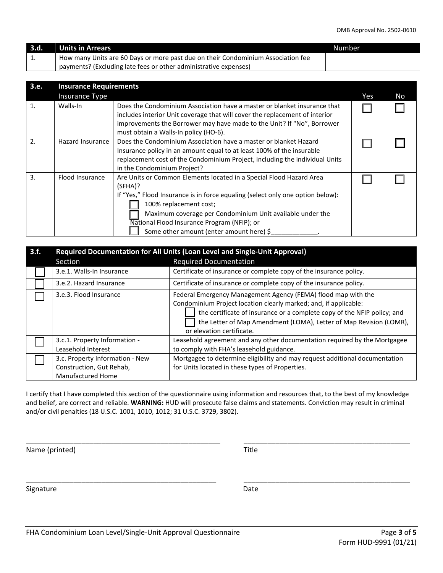| 3.d. | Units in Arrears                                                                 | 'Number |
|------|----------------------------------------------------------------------------------|---------|
| ᆠ.   | How many Units are 60 Days or more past due on their Condominium Association fee |         |
|      | payments? (Excluding late fees or other administrative expenses)                 |         |

| 3.e.             | <b>Insurance Requirements</b> |                                                                                                                                                                                                                                                                                                                                                    |     |     |  |
|------------------|-------------------------------|----------------------------------------------------------------------------------------------------------------------------------------------------------------------------------------------------------------------------------------------------------------------------------------------------------------------------------------------------|-----|-----|--|
|                  | <b>Insurance Type</b>         |                                                                                                                                                                                                                                                                                                                                                    | Yes | No. |  |
| 1.               | Walls-In                      | Does the Condominium Association have a master or blanket insurance that<br>includes interior Unit coverage that will cover the replacement of interior<br>improvements the Borrower may have made to the Unit? If "No", Borrower<br>must obtain a Walls-In policy (HO-6).                                                                         |     |     |  |
| 2.               | <b>Hazard Insurance</b>       | Does the Condominium Association have a master or blanket Hazard<br>Insurance policy in an amount equal to at least 100% of the insurable<br>replacement cost of the Condominium Project, including the individual Units<br>in the Condominium Project?                                                                                            |     |     |  |
| $\overline{3}$ . | <b>Flood Insurance</b>        | Are Units or Common Elements located in a Special Flood Hazard Area<br>(SFHA)?<br>If "Yes," Flood Insurance is in force equaling (select only one option below):<br>100% replacement cost;<br>Maximum coverage per Condominium Unit available under the<br>National Flood Insurance Program (NFIP); or<br>Some other amount (enter amount here) \$ |     |     |  |

| 3.f. | Required Documentation for All Units (Loan Level and Single-Unit Approval)              |                                                                                                                                                                                                                                                                                                                 |  |  |  |
|------|-----------------------------------------------------------------------------------------|-----------------------------------------------------------------------------------------------------------------------------------------------------------------------------------------------------------------------------------------------------------------------------------------------------------------|--|--|--|
|      | Section                                                                                 | <b>Required Documentation</b>                                                                                                                                                                                                                                                                                   |  |  |  |
|      | 3.e.1. Walls-In Insurance                                                               | Certificate of insurance or complete copy of the insurance policy.                                                                                                                                                                                                                                              |  |  |  |
|      | 3.e.2. Hazard Insurance                                                                 | Certificate of insurance or complete copy of the insurance policy.                                                                                                                                                                                                                                              |  |  |  |
|      | 3.e.3. Flood Insurance                                                                  | Federal Emergency Management Agency (FEMA) flood map with the<br>Condominium Project location clearly marked; and, if applicable:<br>the certificate of insurance or a complete copy of the NFIP policy; and<br>the Letter of Map Amendment (LOMA), Letter of Map Revision (LOMR),<br>or elevation certificate. |  |  |  |
|      | 3.c.1. Property Information -<br>Leasehold Interest                                     | Leasehold agreement and any other documentation required by the Mortgagee<br>to comply with FHA's leasehold guidance.                                                                                                                                                                                           |  |  |  |
|      | 3.c. Property Information - New<br>Construction, Gut Rehab,<br><b>Manufactured Home</b> | Mortgagee to determine eligibility and may request additional documentation<br>for Units located in these types of Properties.                                                                                                                                                                                  |  |  |  |

I certify that I have completed this section of the questionnaire using information and resources that, to the best of my knowledge and belief, are correct and reliable. **WARNING:** HUD will prosecute false claims and statements. Conviction may result in criminal and/or civil penalties (18 U.S.C. 1001, 1010, 1012; 31 U.S.C. 3729, 3802).

\_\_\_\_\_\_\_\_\_\_\_\_\_\_\_\_\_\_\_\_\_\_\_\_\_\_\_\_\_\_\_\_\_\_\_\_\_\_\_\_\_\_\_\_\_\_\_\_\_ \_\_\_\_\_\_\_\_\_\_\_\_\_\_\_\_\_\_\_\_\_\_\_\_\_\_\_\_\_\_\_\_\_\_\_\_\_\_\_\_\_\_

\_\_\_\_\_\_\_\_\_\_\_\_\_\_\_\_\_\_\_\_\_\_\_\_\_\_\_\_\_\_\_\_\_\_\_\_\_\_\_\_\_\_\_\_\_\_\_\_ \_\_\_\_\_\_\_\_\_\_\_\_\_\_\_\_\_\_\_\_\_\_\_\_\_\_\_\_\_\_\_\_\_\_\_\_\_\_\_\_\_\_

Name (printed) Title

Signature Date Date Date Date Date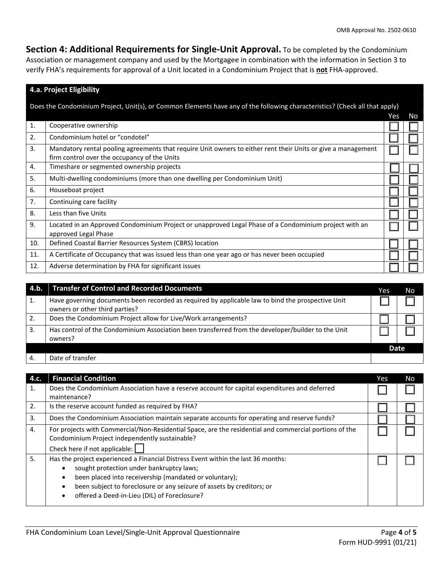**Section 4: Additional Requirements for Single-Unit Approval.** To be completed by the Condominium Association or management company and used by the Mortgagee in combination with the information in Section 3 to verify FHA's requirements for approval of a Unit located in a Condominium Project that is **not** FHA-approved.

#### **4.a. Project Eligibility**

Does the Condominium Project, Unit(s), or Common Elements have any of the following characteristics? (Check all that apply)

|     |                                                                                                                                                              | Yes | No |
|-----|--------------------------------------------------------------------------------------------------------------------------------------------------------------|-----|----|
| 1.  | Cooperative ownership                                                                                                                                        |     |    |
| 2.  | Condominium hotel or "condotel"                                                                                                                              |     |    |
| 3.  | Mandatory rental pooling agreements that require Unit owners to either rent their Units or give a management<br>firm control over the occupancy of the Units |     |    |
| 4.  | Timeshare or segmented ownership projects                                                                                                                    |     |    |
| 5.  | Multi-dwelling condominiums (more than one dwelling per Condominium Unit)                                                                                    |     |    |
| 6.  | Houseboat project                                                                                                                                            |     |    |
| 7.  | Continuing care facility                                                                                                                                     |     |    |
| 8.  | Less than five Units                                                                                                                                         |     |    |
| 9.  | Located in an Approved Condominium Project or unapproved Legal Phase of a Condominium project with an<br>approved Legal Phase                                |     |    |
| 10. | Defined Coastal Barrier Resources System (CBRS) location                                                                                                     |     |    |
| 11. | A Certificate of Occupancy that was issued less than one year ago or has never been occupied                                                                 |     |    |
| 12. | Adverse determination by FHA for significant issues                                                                                                          |     |    |

| $-4.b.$ | <b>Transfer of Control and Recorded Documents</b>                                                                                   | Yes  | No |
|---------|-------------------------------------------------------------------------------------------------------------------------------------|------|----|
|         | Have governing documents been recorded as required by applicable law to bind the prospective Unit<br>owners or other third parties? |      |    |
|         | Does the Condominium Project allow for Live/Work arrangements?                                                                      |      |    |
| 3.      | Has control of the Condominium Association been transferred from the developer/builder to the Unit<br>owners?                       |      |    |
|         |                                                                                                                                     | Date |    |
|         | Date of transfer                                                                                                                    |      |    |

| 4.c. | <b>Financial Condition</b>                                                                             | Yes | No |
|------|--------------------------------------------------------------------------------------------------------|-----|----|
| 1.   | Does the Condominium Association have a reserve account for capital expenditures and deferred          |     |    |
|      | maintenance?                                                                                           |     |    |
| 2.   | Is the reserve account funded as required by FHA?                                                      |     |    |
| 3.   | Does the Condominium Association maintain separate accounts for operating and reserve funds?           |     |    |
| 4.   | For projects with Commercial/Non-Residential Space, are the residential and commercial portions of the |     |    |
|      | Condominium Project independently sustainable?                                                         |     |    |
|      | Check here if not applicable: [                                                                        |     |    |
| 5.   | Has the project experienced a Financial Distress Event within the last 36 months:                      |     |    |
|      | sought protection under bankruptcy laws;                                                               |     |    |
|      | been placed into receivership (mandated or voluntary);<br>$\bullet$                                    |     |    |
|      | been subject to foreclosure or any seizure of assets by creditors; or                                  |     |    |
|      | offered a Deed-in-Lieu (DIL) of Foreclosure?                                                           |     |    |